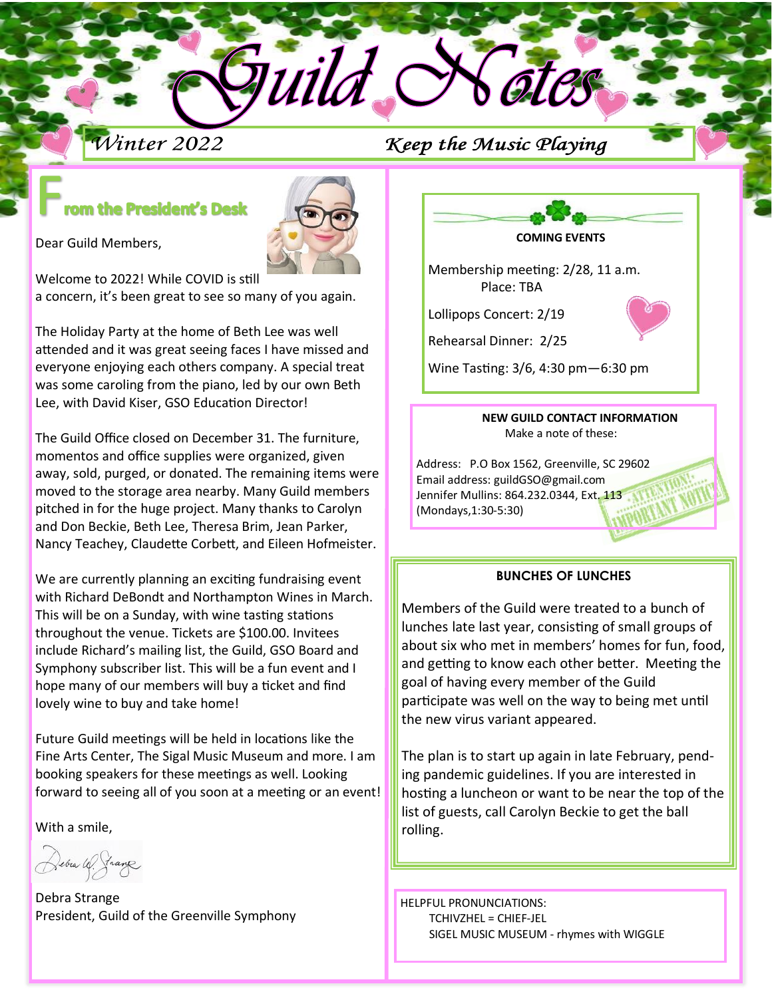# Winter 2022

# Keep the Music Playing

# om the President's Desk



Dear Guild Members,

Welcome to 2022! While COVID is still a concern, it's been great to see so many of you again.

The Holiday Party at the home of Beth Lee was well attended and it was great seeing faces I have missed and everyone enjoying each others company. A special treat was some caroling from the piano, led by our own Beth Lee, with David Kiser, GSO Education Director!

The Guild Office closed on December 31. The furniture, momentos and office supplies were organized, given away, sold, purged, or donated. The remaining items were moved to the storage area nearby. Many Guild members pitched in for the huge project. Many thanks to Carolyn and Don Beckie, Beth Lee, Theresa Brim, Jean Parker, Nancy Teachey, Claudette Corbett, and Eileen Hofmeister.

We are currently planning an exciting fundraising event with Richard DeBondt and Northampton Wines in March. This will be on a Sunday, with wine tasting stations throughout the venue. Tickets are \$100.00. Invitees include Richard's mailing list, the Guild, GSO Board and Symphony subscriber list. This will be a fun event and I hope many of our members will buy a ticket and find lovely wine to buy and take home!

Future Guild meetings will be held in locations like the Fine Arts Center, The Sigal Music Museum and more. I am booking speakers for these meetings as well. Looking forward to seeing all of you soon at a meeting or an event!

With a smile,

Debra Strange President, Guild of the Greenville Symphony



Membership meeting: 2/28, 11 a.m. Place: TBA

Lollipops Concert: 2/19

Rehearsal Dinner: 2/25

Wine Tasting: 3/6, 4:30 pm—6:30 pm

#### **NEW GUILD CONTACT INFORMATION** Make a note of these:

Address: P.O Box 1562, Greenville, SC 29602 Email address: guildGSO@gmail.com Jennifer Mullins: 864.232.0344, Ext. 113 (Mondays,1:30-5:30)

## **BUNCHES OF LUNCHES**

Members of the Guild were treated to a bunch of lunches late last year, consisting of small groups of about six who met in members' homes for fun, food, and getting to know each other better. Meeting the goal of having every member of the Guild participate was well on the way to being met until the new virus variant appeared.

The plan is to start up again in late February, pending pandemic guidelines. If you are interested in hosting a luncheon or want to be near the top of the list of guests, call Carolyn Beckie to get the ball rolling.

HELPFUL PRONUNCIATIONS: TCHIVZHEL = CHIEF-JEL SIGEL MUSIC MUSEUM - rhymes with WIGGLE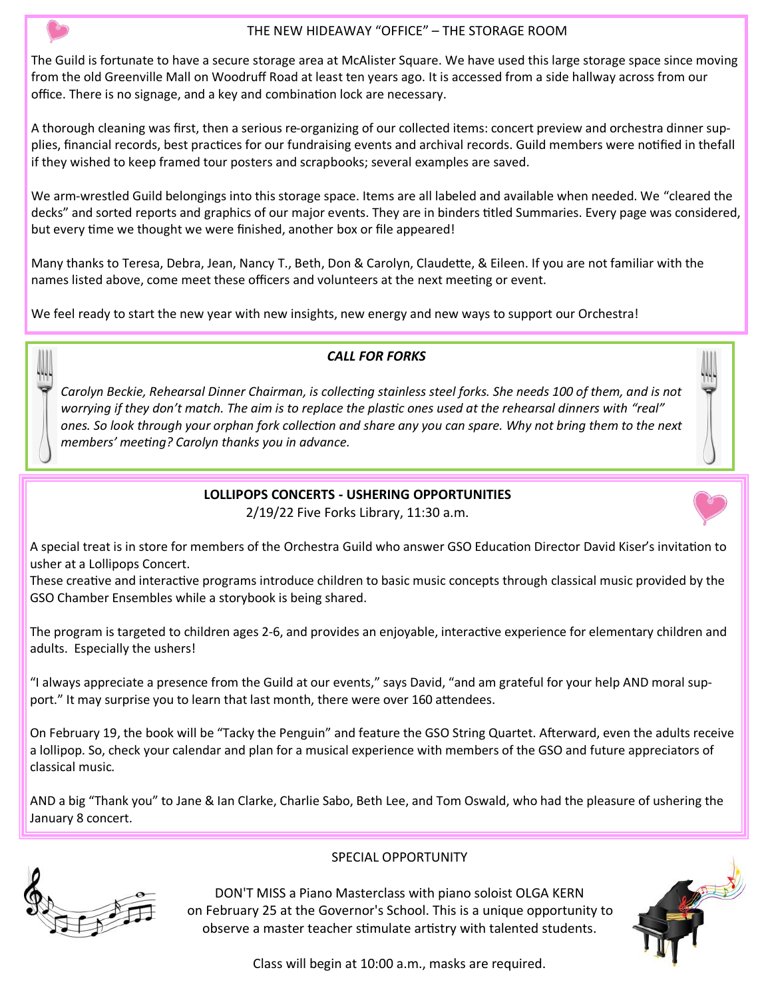### THE NEW HIDEAWAY "OFFICE" – THE STORAGE ROOM

The Guild is fortunate to have a secure storage area at McAlister Square. We have used this large storage space since moving from the old Greenville Mall on Woodruff Road at least ten years ago. It is accessed from a side hallway across from our office. There is no signage, and a key and combination lock are necessary.

A thorough cleaning was first, then a serious re-organizing of our collected items: concert preview and orchestra dinner supplies, financial records, best practices for our fundraising events and archival records. Guild members were notified in the fall if they wished to keep framed tour posters and scrapbooks; several examples are saved.

We arm-wrestled Guild belongings into this storage space. Items are all labeled and available when needed. We "cleared the decks" and sorted reports and graphics of our major events. They are in binders titled Summaries. Every page was considered, but every time we thought we were finished, another box or file appeared!

Many thanks to Teresa, Debra, Jean, Nancy T., Beth, Don & Carolyn, Claudette, & Eileen. If you are not familiar with the names listed above, come meet these officers and volunteers at the next meeting or event.

We feel ready to start the new year with new insights, new energy and new ways to support our Orchestra!

## *CALL FOR FORKS*

*Carolyn Beckie, Rehearsal Dinner Chairman, is collecting stainless steel forks. She needs 100 of them, and is not worrying if they don't match. The aim is to replace the plastic ones used at the rehearsal dinners with "real" ones. So look through your orphan fork collection and share any you can spare. Why not bring them to the next members' meeting? Carolyn thanks you in advance.*

## **LOLLIPOPS CONCERTS - USHERING OPPORTUNITIES**

2/19/22 Five Forks Library, 11:30 a.m.

A special treat is in store for members of the Orchestra Guild who answer GSO Education Director David Kiser's invitation to usher at a Lollipops Concert.

These creative and interactive programs introduce children to basic music concepts through classical music provided by the GSO Chamber Ensembles while a storybook is being shared.

The program is targeted to children ages 2-6, and provides an enjoyable, interactive experience for elementary children and adults. Especially the ushers!

"I always appreciate a presence from the Guild at our events," says David, "and am grateful for your help AND moral support." It may surprise you to learn that last month, there were over 160 attendees.

On February 19, the book will be "Tacky the Penguin" and feature the GSO String Quartet. Afterward, even the adults receive a lollipop. So, check your calendar and plan for a musical experience with members of the GSO and future appreciators of classical music.

AND a big "Thank you" to Jane & Ian Clarke, Charlie Sabo, Beth Lee, and Tom Oswald, who had the pleasure of ushering the January 8 concert.



### SPECIAL OPPORTUNITY

DON'T MISS a Piano Masterclass with piano soloist OLGA KERN on February 25 at the Governor's School. This is a unique opportunity to observe a master teacher stimulate artistry with talented students.



Class will begin at 10:00 a.m., masks are required.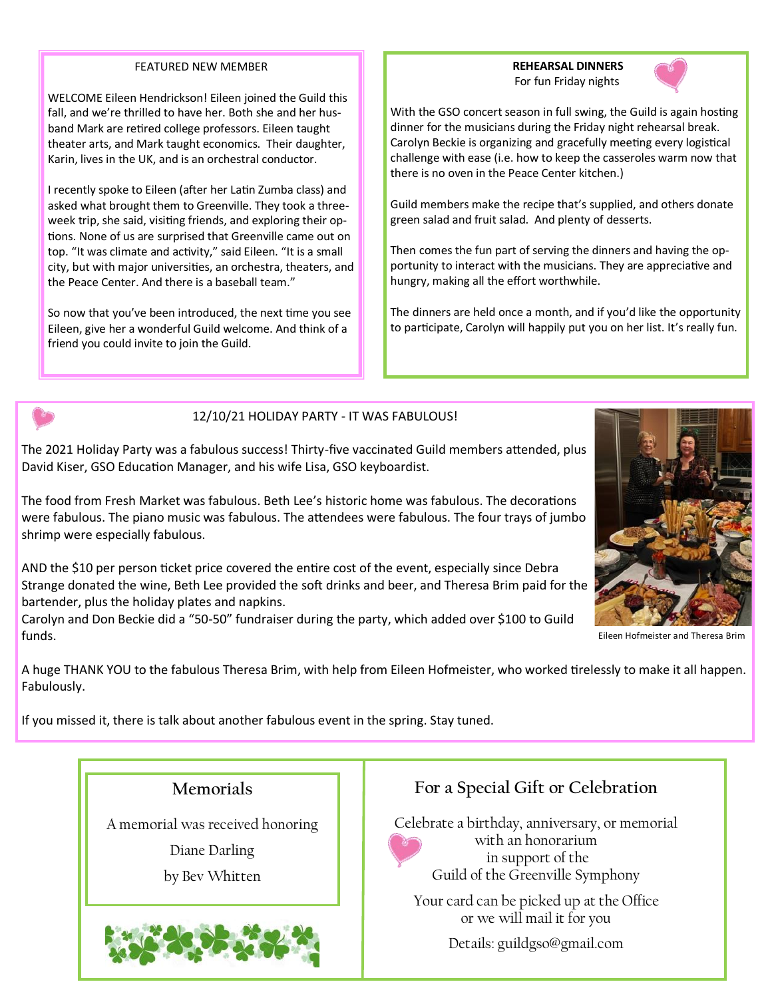#### FEATURED NEW MEMBER

WELCOME Eileen Hendrickson! Eileen joined the Guild this fall, and we're thrilled to have her. Both she and her husband Mark are retired college professors. Eileen taught theater arts, and Mark taught economics. Their daughter, Karin, lives in the UK, and is an orchestral conductor.

I recently spoke to Eileen (after her Latin Zumba class) and asked what brought them to Greenville. They took a threeweek trip, she said, visiting friends, and exploring their options. None of us are surprised that Greenville came out on top. "It was climate and activity," said Eileen. "It is a small city, but with major universities, an orchestra, theaters, and the Peace Center. And there is a baseball team."

So now that you've been introduced, the next time you see Eileen, give her a wonderful Guild welcome. And think of a friend you could invite to join the Guild.

 **REHEARSAL DINNERS** For fun Friday nights



With the GSO concert season in full swing, the Guild is again hosting dinner for the musicians during the Friday night rehearsal break. Carolyn Beckie is organizing and gracefully meeting every logistical challenge with ease (i.e. how to keep the casseroles warm now that there is no oven in the Peace Center kitchen.)

Guild members make the recipe that's supplied, and others donate green salad and fruit salad. And plenty of desserts.

Then comes the fun part of serving the dinners and having the opportunity to interact with the musicians. They are appreciative and hungry, making all the effort worthwhile.

The dinners are held once a month, and if you'd like the opportunity to participate, Carolyn will happily put you on her list. It's really fun.

#### 12/10/21 HOLIDAY PARTY - IT WAS FABULOUS!

The 2021 Holiday Party was a fabulous success! Thirty-five vaccinated Guild members attended, plus David Kiser, GSO Education Manager, and his wife Lisa, GSO keyboardist.

The food from Fresh Market was fabulous. Beth Lee's historic home was fabulous. The decorations were fabulous. The piano music was fabulous. The attendees were fabulous. The four trays of jumbo shrimp were especially fabulous.

AND the \$10 per person ticket price covered the entire cost of the event, especially since Debra Strange donated the wine, Beth Lee provided the soft drinks and beer, and Theresa Brim paid for the bartender, plus the holiday plates and napkins.

Carolyn and Don Beckie did a "50-50" fundraiser during the party, which added over \$100 to Guild funds.



Eileen Hofmeister and Theresa Brim

A huge THANK YOU to the fabulous Theresa Brim, with help from Eileen Hofmeister, who worked tirelessly to make it all happen. Fabulously.

If you missed it, there is talk about another fabulous event in the spring. Stay tuned.